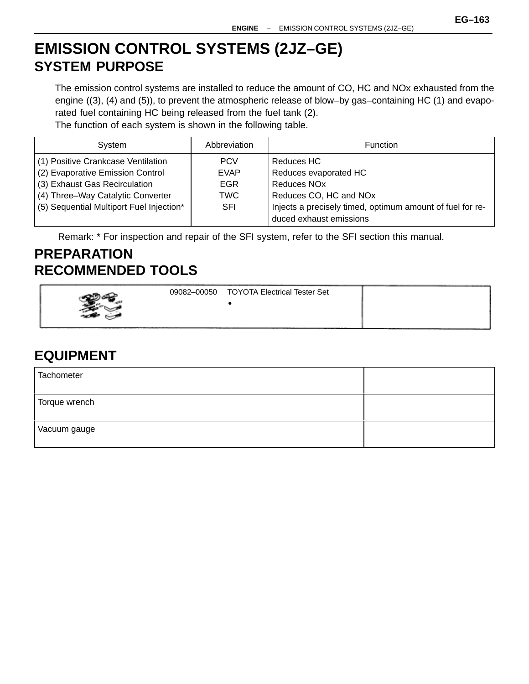# **EMISSION CONTROL SYSTEMS (2JZ–GE) SYSTEM PURPOSE**

The emission control systems are installed to reduce the amount of CO, HC and NOx exhausted from the engine ((3), (4) and (5)), to prevent the atmospheric release of blow–by gas–containing HC (1) and evaporated fuel containing HC being released from the fuel tank (2).

The function of each system is shown in the following table.

| System                                   | Abbreviation | <b>Function</b>                                           |
|------------------------------------------|--------------|-----------------------------------------------------------|
| (1) Positive Crankcase Ventilation       | <b>PCV</b>   | Reduces HC                                                |
| (2) Evaporative Emission Control         | <b>EVAP</b>  | Reduces evaporated HC                                     |
| (3) Exhaust Gas Recirculation            | <b>EGR</b>   | Reduces NO <sub>x</sub>                                   |
| (4) Three-Way Catalytic Converter        | <b>TWC</b>   | Reduces CO, HC and NOx                                    |
| (5) Sequential Multiport Fuel Injection* | <b>SFI</b>   | Injects a precisely timed, optimum amount of fuel for re- |
|                                          |              | duced exhaust emissions                                   |

Remark: \* For inspection and repair of the SFI system, refer to the SFI section this manual.

## **PREPARATION RECOMMENDED TOOLS**

|     | 09082-00050 | <b>TOYOTA Electrical Tester Set</b> |  |
|-----|-------------|-------------------------------------|--|
|     |             |                                     |  |
| ___ | ____        |                                     |  |

## **EQUIPMENT**

| Tachometer    |  |
|---------------|--|
| Torque wrench |  |
| Vacuum gauge  |  |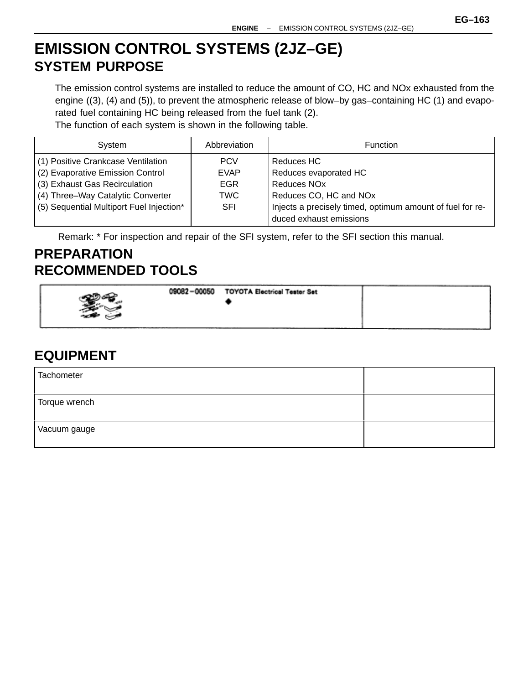# **EMISSION CONTROL SYSTEMS (2JZ–GE) SYSTEM PURPOSE**

The emission control systems are installed to reduce the amount of CO, HC and NOx exhausted from the engine ((3), (4) and (5)), to prevent the atmospheric release of blow–by gas–containing HC (1) and evaporated fuel containing HC being released from the fuel tank (2).

The function of each system is shown in the following table.

| System                                   | Abbreviation | <b>Function</b>                                           |
|------------------------------------------|--------------|-----------------------------------------------------------|
| (1) Positive Crankcase Ventilation       | <b>PCV</b>   | Reduces HC                                                |
| (2) Evaporative Emission Control         | <b>EVAP</b>  | Reduces evaporated HC                                     |
| (3) Exhaust Gas Recirculation            | <b>EGR</b>   | Reduces NO <sub>x</sub>                                   |
| (4) Three-Way Catalytic Converter        | <b>TWC</b>   | Reduces CO, HC and NOx                                    |
| (5) Sequential Multiport Fuel Injection* | <b>SFI</b>   | Injects a precisely timed, optimum amount of fuel for re- |
|                                          |              | duced exhaust emissions                                   |

Remark: \* For inspection and repair of the SFI system, refer to the SFI section this manual.

## **PREPARATION RECOMMENDED TOOLS**

| 09082-00050 | <b>TOYOTA Electrical Tester Set</b> |  |
|-------------|-------------------------------------|--|
|-------------|-------------------------------------|--|

## **EQUIPMENT**

| Tachometer    |  |
|---------------|--|
| Torque wrench |  |
| Vacuum gauge  |  |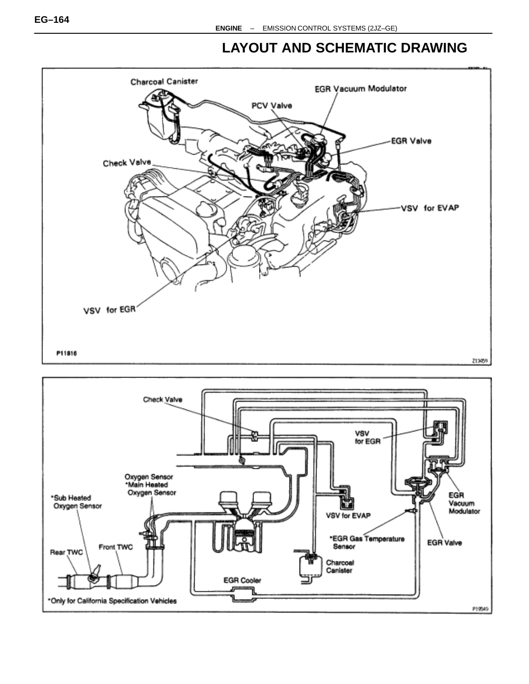## **LAYOUT AND SCHEMATIC DRAWING**



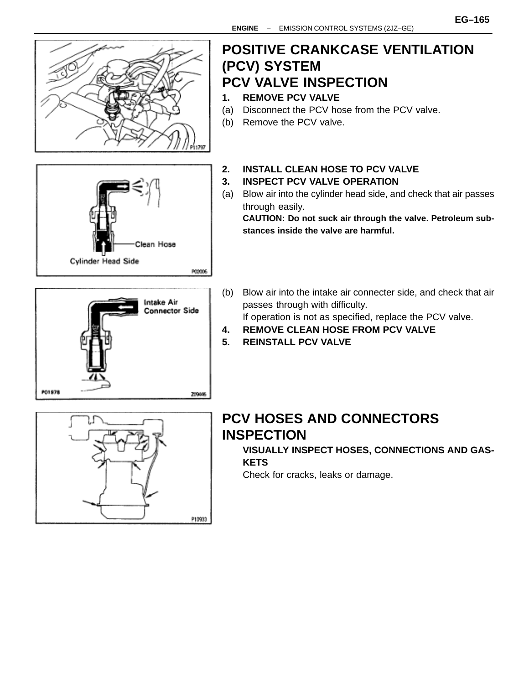

P10933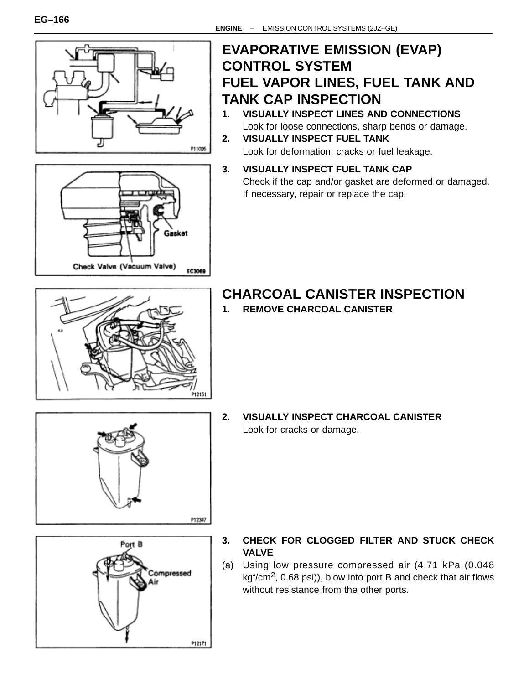



## **EVAPORATIVE EMISSION (EVAP) CONTROL SYSTEM FUEL VAPOR LINES, FUEL TANK AND TANK CAP INSPECTION**

- **1. VISUALLY INSPECT LINES AND CONNECTIONS** Look for loose connections, sharp bends or damage.
- **2. VISUALLY INSPECT FUEL TANK** Look for deformation, cracks or fuel leakage.
- **3. VISUALLY INSPECT FUEL TANK CAP** Check if the cap and/or gasket are deformed or damaged. If necessary, repair or replace the cap.



# **CHARCOAL CANISTER INSPECTION**

**1. REMOVE CHARCOAL CANISTER**



**2. VISUALLY INSPECT CHARCOAL CANISTER** Look for cracks or damage.



- **3. CHECK FOR CLOGGED FILTER AND STUCK CHECK VALVE**
- (a) Using low pressure compressed air (4.71 kPa (0.048 kgf/cm<sup>2</sup>, 0.68 psi)), blow into port B and check that air flows without resistance from the other ports.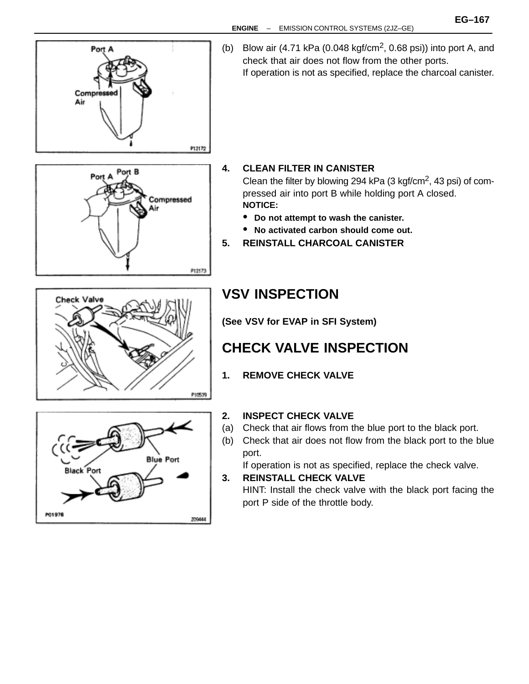

(b) Blow air  $(4.71 \text{ kPa } (0.048 \text{ kgf/cm}^2, 0.68 \text{ psi}))$  into port A, and check that air does not flow from the other ports. If operation is not as specified, replace the charcoal canister.

# Port B Port A Compressed Air P12173

## **4. CLEAN FILTER IN CANISTER**

Clean the filter by blowing 294 kPa  $(3 \text{ kgf/cm}^2, 43 \text{ psi})$  of compressed air into port B while holding port A closed. **NOTICE:**

- **Do not attempt to wash the canister.**
- **No activated carbon should come out.**
- **5. REINSTALL CHARCOAL CANISTER**



## **VSV INSPECTION**

**(See VSV for EVAP in SFI System)**

# **CHECK VALVE INSPECTION**

**1. REMOVE CHECK VALVE**



### **2. INSPECT CHECK VALVE**

- (a) Check that air flows from the blue port to the black port.
- (b) Check that air does not flow from the black port to the blue port.

If operation is not as specified, replace the check valve.

## **3. REINSTALL CHECK VALVE**

HINT: Install the check valve with the black port facing the port P side of the throttle body.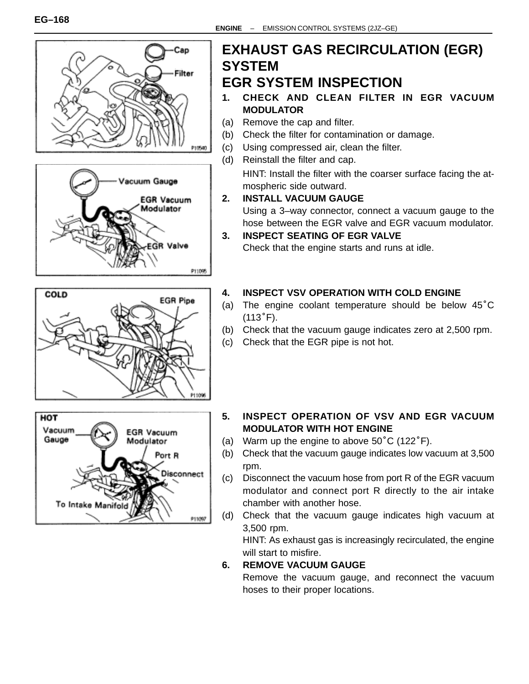







## **EXHAUST GAS RECIRCULATION (EGR) SYSTEM EGR SYSTEM INSPECTION**

- **1. CHECK AND CLEAN FILTER IN EGR VACUUM MODULATOR**
- (a) Remove the cap and filter.
- (b) Check the filter for contamination or damage.
- (c) Using compressed air, clean the filter.
- (d) Reinstall the filter and cap.
	- HINT: Install the filter with the coarser surface facing the atmospheric side outward.
- **2. INSTALL VACUUM GAUGE** Using a 3–way connector, connect a vacuum gauge to the hose between the EGR valve and EGR vacuum modulator.
- **3. INSPECT SEATING OF EGR VALVE** Check that the engine starts and runs at idle.

## **4. INSPECT VSV OPERATION WITH COLD ENGINE**

- 4. INSPECT VSV OPERATION WITH COLD ENGINE<br>(a) The engine coolant temperature should be below 45°C **INSPEC**<br>The eng<br>(113°F).
- (b) Check that the vacuum gauge indicates zero at 2,500 rpm.
- (c) Check that the EGR pipe is not hot.
- **5. INSPECT OPERATION OF VSV AND EGR VACUUM MODULATOR WITH HOT ENGINE**
- (a) Warm up the engine to above  $50^{\circ}$ C (122 $^{\circ}$ F).
- (b) Check that the vacuum gauge indicates low vacuum at 3,500 rpm.
- (c) Disconnect the vacuum hose from port R of the EGR vacuum modulator and connect port R directly to the air intake chamber with another hose.
- (d) Check that the vacuum gauge indicates high vacuum at 3,500 rpm.

HINT: As exhaust gas is increasingly recirculated, the engine will start to misfire.

## **6. REMOVE VACUUM GAUGE**

Remove the vacuum gauge, and reconnect the vacuum hoses to their proper locations.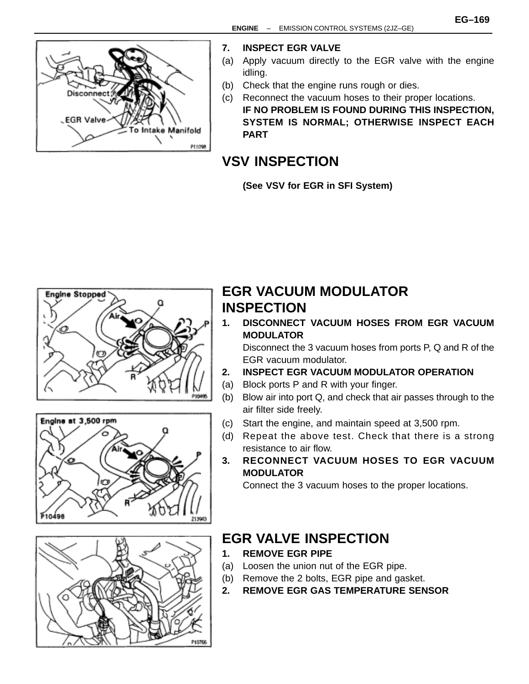

#### **7. INSPECT EGR VALVE**

- (a) Apply vacuum directly to the EGR valve with the engine idling.
- (b) Check that the engine runs rough or dies.
- (c) Reconnect the vacuum hoses to their proper locations. **IF NO PROBLEM IS FOUND DURING THIS INSPECTION, SYSTEM IS NORMAL; OTHERWISE INSPECT EACH PART**

## **VSV INSPECTION**

**(See VSV for EGR in SFI System)**







## **EGR VACUUM MODULATOR INSPECTION**

**1. DISCONNECT VACUUM HOSES FROM EGR VACUUM MODULATOR**

Disconnect the 3 vacuum hoses from ports P, Q and R of the EGR vacuum modulator.

- **2. INSPECT EGR VACUUM MODULATOR OPERATION**
- (a) Block ports P and R with your finger.
- (b) Blow air into port Q, and check that air passes through to the air filter side freely.
- (c) Start the engine, and maintain speed at 3,500 rpm.
- (d) Repeat the above test. Check that there is a strong resistance to air flow.
- **3. RECONNECT VACUUM HOSES TO EGR VACUUM MODULATOR**

Connect the 3 vacuum hoses to the proper locations.

## **EGR VALVE INSPECTION**

- **1. REMOVE EGR PIPE**
- (a) Loosen the union nut of the EGR pipe.
- (b) Remove the 2 bolts, EGR pipe and gasket.
- **2. REMOVE EGR GAS TEMPERATURE SENSOR**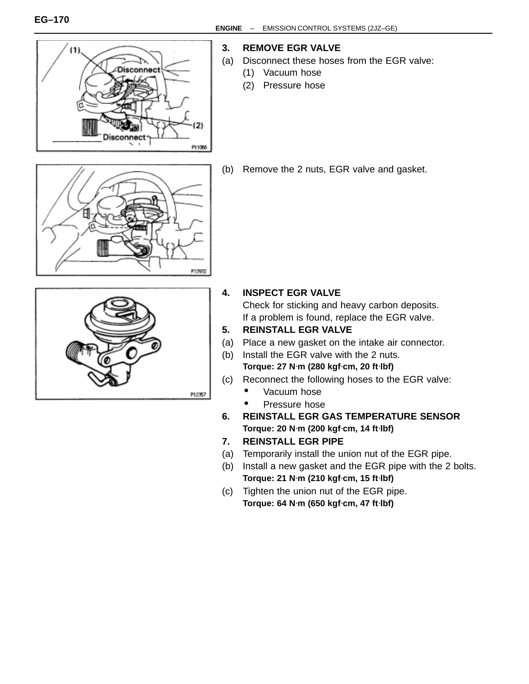

#### **3. REMOVE EGR VALVE**

- (a) Disconnect these hoses from the EGR valve:
	- (1) Vacuum hose
	- (2) Pressure hose



(b) Remove the 2 nuts, EGR valve and gasket.



#### **4. INSPECT EGR VALVE**

Check for sticking and heavy carbon deposits. If a problem is found, replace the EGR valve.

- **5. REINSTALL EGR VALVE**
- (a) Place a new gasket on the intake air connector.
- (b) Install the EGR valve with the 2 nuts. **Torque: 27 N**⋅**m (280 kgf**⋅**cm, 20 ft**⋅**lbf)**
- (c) Reconnect the following hoses to the EGR valve:
	- Vacuum hose
	- Pressure hose
- **6. REINSTALL EGR GAS TEMPERATURE SENSOR Torque: 20 N**⋅**m (200 kgf**⋅**cm, 14 ft**⋅**lbf)**
- **7. REINSTALL EGR PIPE**
- (a) Temporarily install the union nut of the EGR pipe.
- (b) Install a new gasket and the EGR pipe with the 2 bolts. **Torque: 21 N**⋅**m (210 kgf**⋅**cm, 15 ft**⋅**lbf)**
- (c) Tighten the union nut of the EGR pipe. **Torque: 64 N**⋅**m (650 kgf**⋅**cm, 47 ft**⋅**lbf)**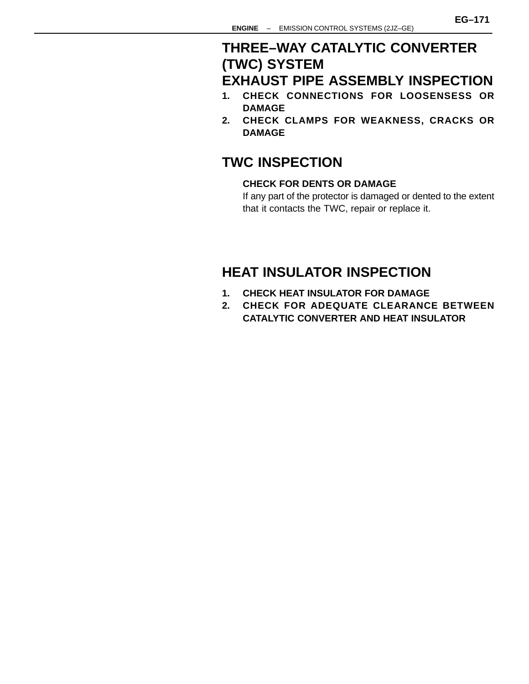## **THREE–WAY CATALYTIC CONVERTER (TWC) SYSTEM EXHAUST PIPE ASSEMBLY INSPECTION**

- **1. CHECK CONNECTIONS FOR LOOSENSESS OR DAMAGE**
- **2. CHECK CLAMPS FOR WEAKNESS, CRACKS OR DAMAGE**

## **TWC INSPECTION**

### **CHECK FOR DENTS OR DAMAGE**

If any part of the protector is damaged or dented to the extent that it contacts the TWC, repair or replace it.

## **HEAT INSULATOR INSPECTION**

- **1. CHECK HEAT INSULATOR FOR DAMAGE**
- **2. CHECK FOR ADEQUATE CLEARANCE BETWEEN CATALYTIC CONVERTER AND HEAT INSULATOR**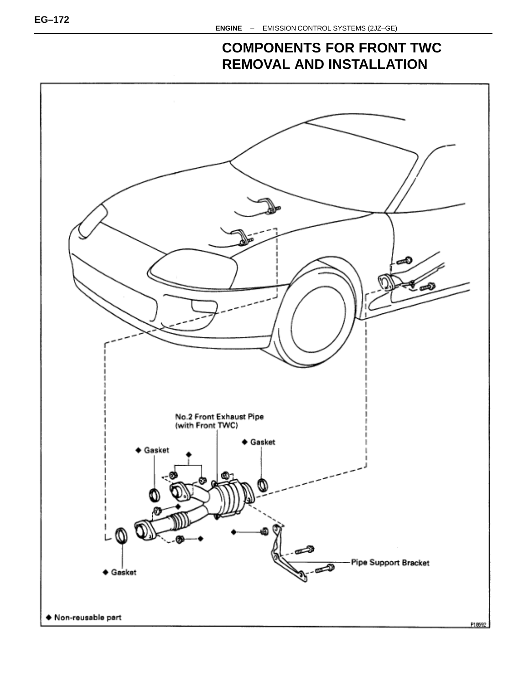## **COMPONENTS FOR FRONT TWC REMOVAL AND INSTALLATION**

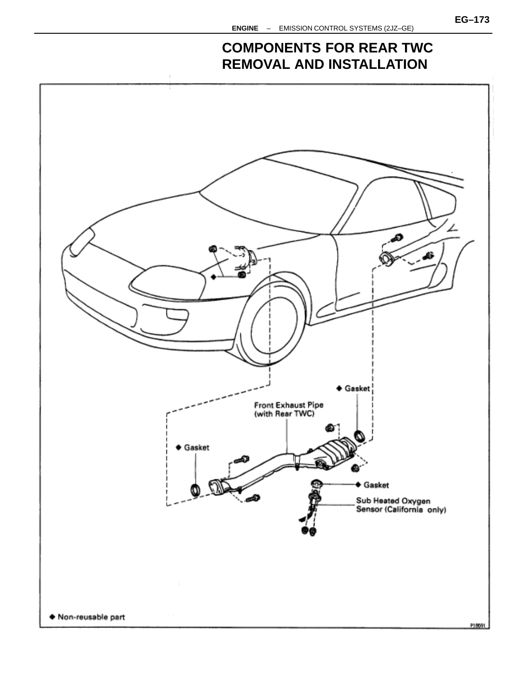## **COMPONENTS FOR REAR TWC REMOVAL AND INSTALLATION**